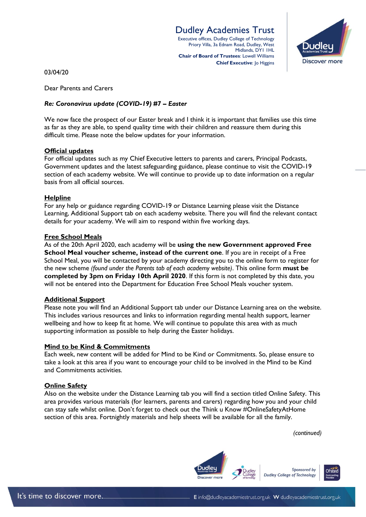# Dudley Academies Trust

Executive offices, Dudley College of Technology Priory Villa, 3a Ednam Road, Dudley, West Midlands, DY1 1HL **Chair of Board of Trustees**: Lowell Williams **Chief Executive: Jo Higgins** 



03/04/20

Dear Parents and Carers

### *Re: Coronavirus update (COVID-19) #7 – Easter*

We now face the prospect of our Easter break and I think it is important that families use this time as far as they are able, to spend quality time with their children and reassure them during this difficult time. Please note the below updates for your information.

#### **Official updates**

For official updates such as my Chief Executive letters to parents and carers, Principal Podcasts, Government updates and the latest safeguarding guidance, please continue to visit the COVID-19 section of each academy website. We will continue to provide up to date information on a regular basis from all official sources.

#### **Helpline**

For any help or guidance regarding COVID-19 or Distance Learning please visit the Distance Learning, Additional Support tab on each academy website. There you will find the relevant contact details for your academy. We will aim to respond within five working days.

#### **Free School Meals**

As of the 20th April 2020, each academy will be **using the new Government approved Free School Meal voucher scheme, instead of the current one**. If you are in receipt of a Free School Meal, you will be contacted by your academy directing you to the online form to register for the new scheme *(found under the Parents tab of each academy website)*. This online form **must be completed by 3pm on Friday 10th April 2020**. If this form is not completed by this date, you will not be entered into the Department for Education Free School Meals voucher system.

#### **Additional Support**

Please note you will find an Additional Support tab under our Distance Learning area on the website. This includes various resources and links to information regarding mental health support, learner wellbeing and how to keep fit at home. We will continue to populate this area with as much supporting information as possible to help during the Easter holidays.

#### **Mind to be Kind & Commitments**

Each week, new content will be added for Mind to be Kind or Commitments. So, please ensure to take a look at this area if you want to encourage your child to be involved in the Mind to be Kind and Commitments activities.

#### **Online Safety**

Also on the website under the Distance Learning tab you will find a section titled Online Safety. This area provides various materials (for learners, parents and carers) regarding how you and your child can stay safe whilst online. Don't forget to check out the Think u Know #OnlineSafetyAtHome section of this area. Fortnightly materials and help sheets will be available for all the family.

*(continued)*